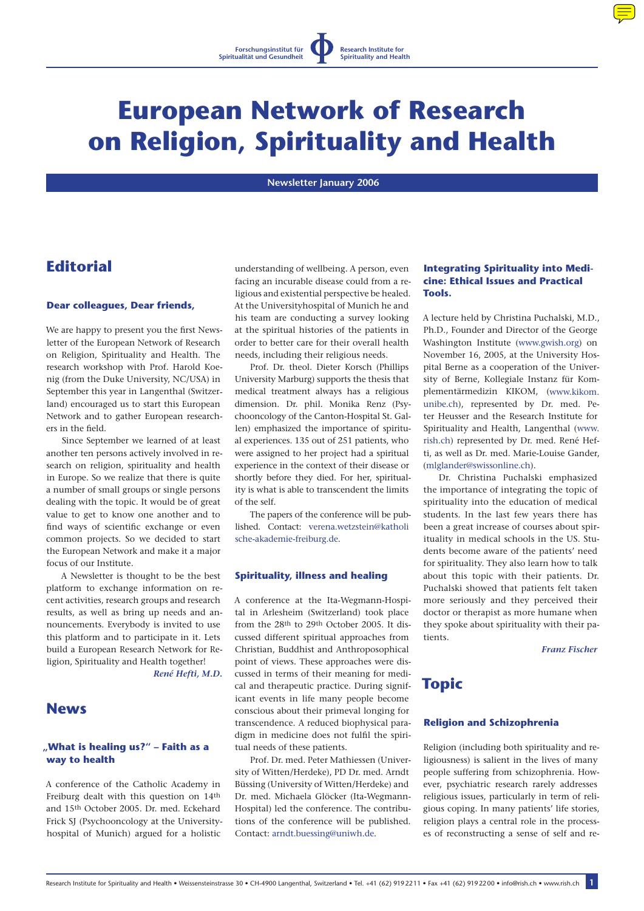

# **European Network of Research on Religion, Spirituality and Health**

 **Newsletter January 2006** 

# **Editorial**

#### **Dear colleagues, Dear friends,**

We are happy to present you the first Newsletter of the European Network of Research on Religion, Spirituality and Health. The research workshop with Prof. Harold Koenig (from the Duke University, NC/USA) in September this year in Langenthal (Switzerland) encouraged us to start this European Network and to gather European researchers in the field.

Since September we learned of at least another ten persons actively involved in research on religion, spirituality and health in Europe. So we realize that there is quite a number of small groups or single persons dealing with the topic. It would be of great value to get to know one another and to find ways of scientific exchange or even common projects. So we decided to start the European Network and make it a major focus of our Institute.

A Newsletter is thought to be the best platform to exchange information on recent activities, research groups and research results, as well as bring up needs and announcements. Everybody is invited to use this platform and to participate in it. Lets build a European Research Network for Religion, Spirituality and Health together!

*René Hefti, M.D.*

## **News**

## **"What is healing us?" – Faith as a way to health**

A conference of the Catholic Academy in Freiburg dealt with this question on 14th and 15th October 2005. Dr. med. Eckehard Frick SJ (Psychooncology at the Universityhospital of Munich) argued for a holistic

understanding of wellbeing. A person, even facing an incurable disease could from a religious and existential perspective be healed. At the Universityhospital of Munich he and his team are conducting a survey looking at the spiritual histories of the patients in order to better care for their overall health needs, including their religious needs.

Prof. Dr. theol. Dieter Korsch (Phillips University Marburg) supports the thesis that medical treatment always has a religious dimension. Dr. phil. Monika Renz (Psychooncology of the Canton-Hospital St. Gallen) emphasized the importance of spiritual experiences. 135 out of 251 patients, who were assigned to her project had a spiritual experience in the context of their disease or shortly before they died. For her, spirituality is what is able to transcendent the limits of the self.

The papers of the conference will be published. Contact: [verena.wetzstein@katholi](mailto:verena.wetzstein@katholische-akademie-freiburg.de) [sche-akademie-freiburg.de.](mailto:verena.wetzstein@katholische-akademie-freiburg.de)

#### **Spirituality, illness and healing**

A conference at the Ita-Wegmann-Hospital in Arlesheim (Switzerland) took place from the 28th to 29th October 2005. It discussed different spiritual approaches from Christian, Buddhist and Anthroposophical point of views. These approaches were discussed in terms of their meaning for medical and therapeutic practice. During significant events in life many people become conscious about their primeval longing for transcendence. A reduced biophysical paradigm in medicine does not fulfil the spiritual needs of these patients.

Prof. Dr. med. Peter Mathiessen (University of Witten/Herdeke), PD Dr. med. Arndt Büssing (University of Witten/Herdeke) and Dr. med. Michaela Glöcker (Ita-Wegmann-Hospital) led the conference. The contributions of the conference will be published. Contact: [arndt.buessing@uniwh.de.](mailto:arndt.buessing@uniwh.de)

## **Integrating Spirituality into Medicine: Ethical Issues and Practical Tools.**

A lecture held by Christina Puchalski, M.D., Ph.D., Founder and Director of the George Washington Institute ([www.gwish.org](http://www.gwish.org)) on November 16, 2005, at the University Hospital Berne as a cooperation of the University of Berne, Kollegiale Instanz für Komplementärmedizin KIKOM, [\(www.kikom.](http://www.kikom.unibe.ch) [unibe.ch\)](http://www.kikom.unibe.ch), represented by Dr. med. Peter Heusser and the Research Institute for Spirituality and Health, Langenthal ([www.](http://www.rish.ch) [rish.ch\)](http://www.rish.ch) represented by Dr. med. René Hefti, as well as Dr. med. Marie-Louise Gander, [\(mlglander@swissonline.ch](mailto:mlglander@swissonline.ch)).

Dr. Christina Puchalski emphasized the importance of integrating the topic of spirituality into the education of medical students. In the last few years there has been a great increase of courses about spirituality in medical schools in the US. Students become aware of the patients' need for spirituality. They also learn how to talk about this topic with their patients. Dr. Puchalski showed that patients felt taken more seriously and they perceived their doctor or therapist as more humane when they spoke about spirituality with their patients.

*Franz Fischer*

# **Topic**

#### **Religion and Schizophrenia**

Religion (including both spirituality and religiousness) is salient in the lives of many people suffering from schizophrenia. However, psychiatric research rarely addresses religious issues, particularly in term of religious coping. In many patients' life stories, religion plays a central role in the processes of reconstructing a sense of self and re